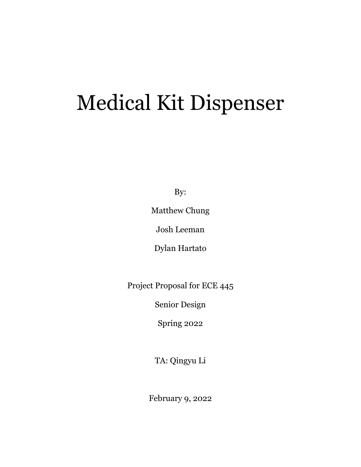# Medical Kit Dispenser

By:

Matthew Chung

Josh Leeman

Dylan Hartato

Project Proposal for ECE 445

Senior Design

Spring 2022

TA: Qingyu Li

February 9, 2022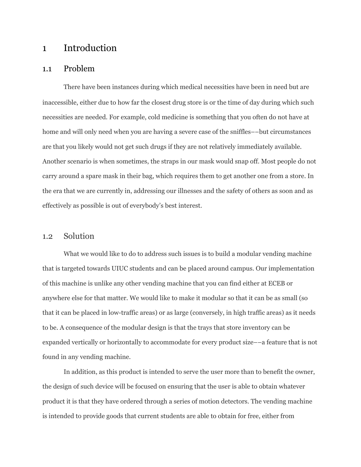## 1 Introduction

#### 1.1 Problem

There have been instances during which medical necessities have been in need but are inaccessible, either due to how far the closest drug store is or the time of day during which such necessities are needed. For example, cold medicine is something that you often do not have at home and will only need when you are having a severe case of the sniffles––but circumstances are that you likely would not get such drugs if they are not relatively immediately available. Another scenario is when sometimes, the straps in our mask would snap off. Most people do not carry around a spare mask in their bag, which requires them to get another one from a store. In the era that we are currently in, addressing our illnesses and the safety of others as soon and as effectively as possible is out of everybody's best interest.

#### 1.2 Solution

What we would like to do to address such issues is to build a modular vending machine that is targeted towards UIUC students and can be placed around campus. Our implementation of this machine is unlike any other vending machine that you can find either at ECEB or anywhere else for that matter. We would like to make it modular so that it can be as small (so that it can be placed in low-traffic areas) or as large (conversely, in high traffic areas) as it needs to be. A consequence of the modular design is that the trays that store inventory can be expanded vertically or horizontally to accommodate for every product size––a feature that is not found in any vending machine.

In addition, as this product is intended to serve the user more than to benefit the owner, the design of such device will be focused on ensuring that the user is able to obtain whatever product it is that they have ordered through a series of motion detectors. The vending machine is intended to provide goods that current students are able to obtain for free, either from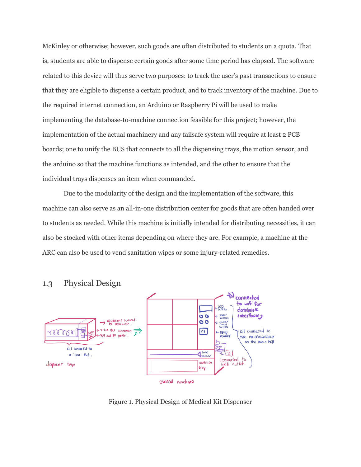McKinley or otherwise; however, such goods are often distributed to students on a quota. That is, students are able to dispense certain goods after some time period has elapsed. The software related to this device will thus serve two purposes: to track the user's past transactions to ensure that they are eligible to dispense a certain product, and to track inventory of the machine. Due to the required internet connection, an Arduino or Raspberry Pi will be used to make implementing the database-to-machine connection feasible for this project; however, the implementation of the actual machinery and any failsafe system will require at least 2 PCB boards; one to unify the BUS that connects to all the dispensing trays, the motion sensor, and the arduino so that the machine functions as intended, and the other to ensure that the individual trays dispenses an item when commanded.

Due to the modularity of the design and the implementation of the software, this machine can also serve as an all-in-one distribution center for goods that are often handed over to students as needed. While this machine is initially intended for distributing necessities, it can also be stocked with other items depending on where they are. For example, a machine at the ARC can also be used to vend sanitation wipes or some injury-related remedies.



## 1.3 Physical Design

Figure 1. Physical Design of Medical Kit Dispenser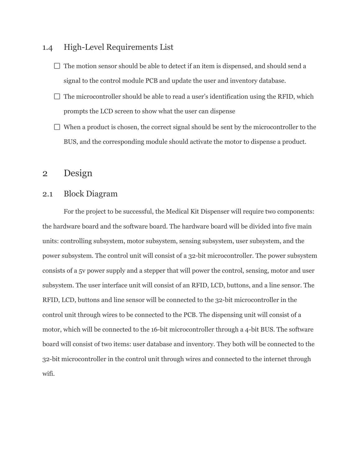### 1.4 High-Level Requirements List

- $\Box$  The motion sensor should be able to detect if an item is dispensed, and should send a signal to the control module PCB and update the user and inventory database.
- $\Box$  The microcontroller should be able to read a user's identification using the RFID, which prompts the LCD screen to show what the user can dispense
- $\Box$  When a product is chosen, the correct signal should be sent by the microcontroller to the BUS, and the corresponding module should activate the motor to dispense a product.

## 2 Design

## 2.1 Block Diagram

For the project to be successful, the Medical Kit Dispenser will require two components: the hardware board and the software board. The hardware board will be divided into five main units: controlling subsystem, motor subsystem, sensing subsystem, user subsystem, and the power subsystem. The control unit will consist of a 32-bit microcontroller. The power subsystem consists of a 5v power supply and a stepper that will power the control, sensing, motor and user subsystem. The user interface unit will consist of an RFID, LCD, buttons, and a line sensor. The RFID, LCD, buttons and line sensor will be connected to the 32-bit microcontroller in the control unit through wires to be connected to the PCB. The dispensing unit will consist of a motor, which will be connected to the 16-bit microcontroller through a 4-bit BUS. The software board will consist of two items: user database and inventory. They both will be connected to the 32-bit microcontroller in the control unit through wires and connected to the internet through wifi.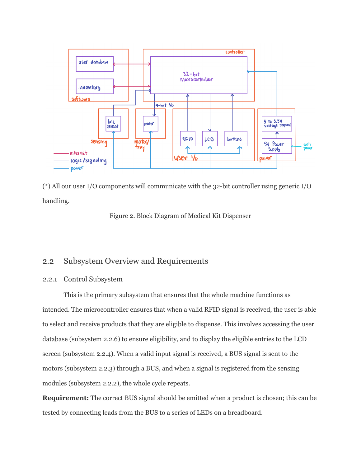

(\*) All our user I/O components will communicate with the 32-bit controller using generic I/O handling.



## 2.2 Subsystem Overview and Requirements

#### 2.2.1 Control Subsystem

This is the primary subsystem that ensures that the whole machine functions as intended. The microcontroller ensures that when a valid RFID signal is received, the user is able to select and receive products that they are eligible to dispense. This involves accessing the user database (subsystem 2.2.6) to ensure eligibility, and to display the eligible entries to the LCD screen (subsystem 2.2.4). When a valid input signal is received, a BUS signal is sent to the motors (subsystem 2.2.3) through a BUS, and when a signal is registered from the sensing modules (subsystem 2.2.2), the whole cycle repeats.

**Requirement:** The correct BUS signal should be emitted when a product is chosen; this can be tested by connecting leads from the BUS to a series of LEDs on a breadboard.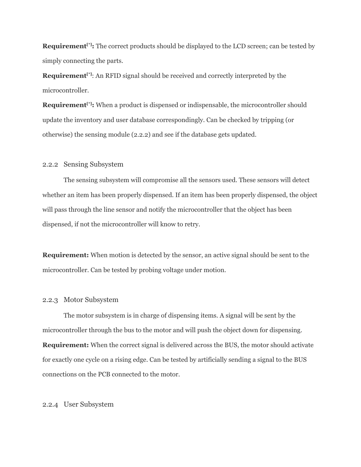**Requirement**<sup>[\*]</sup>: The correct products should be displayed to the LCD screen; can be tested by simply connecting the parts.

**Requirement**<sup>[\*]</sup>: An RFID signal should be received and correctly interpreted by the microcontroller.

**Requirement**<sup>[\*]</sup> When a product is dispensed or indispensable, the microcontroller should update the inventory and user database correspondingly. Can be checked by tripping (or otherwise) the sensing module (2.2.2) and see if the database gets updated.

#### 2.2.2 Sensing Subsystem

The sensing subsystem will compromise all the sensors used. These sensors will detect whether an item has been properly dispensed. If an item has been properly dispensed, the object will pass through the line sensor and notify the microcontroller that the object has been dispensed, if not the microcontroller will know to retry.

**Requirement:** When motion is detected by the sensor, an active signal should be sent to the microcontroller. Can be tested by probing voltage under motion.

#### 2.2.3 Motor Subsystem

The motor subsystem is in charge of dispensing items. A signal will be sent by the microcontroller through the bus to the motor and will push the object down for dispensing. **Requirement:** When the correct signal is delivered across the BUS, the motor should activate for exactly one cycle on a rising edge. Can be tested by artificially sending a signal to the BUS connections on the PCB connected to the motor.

#### 2.2.4 User Subsystem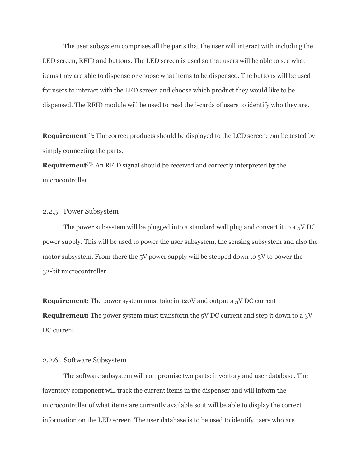The user subsystem comprises all the parts that the user will interact with including the LED screen, RFID and buttons. The LED screen is used so that users will be able to see what items they are able to dispense or choose what items to be dispensed. The buttons will be used for users to interact with the LED screen and choose which product they would like to be dispensed. The RFID module will be used to read the i-cards of users to identify who they are.

**Requirement**<sup>[\*]</sup>: The correct products should be displayed to the LCD screen; can be tested by simply connecting the parts.

**Requirement**<sup>[\*]</sup>: An RFID signal should be received and correctly interpreted by the microcontroller

#### 2.2.5 Power Subsystem

The power subsystem will be plugged into a standard wall plug and convert it to a 5V DC power supply. This will be used to power the user subsystem, the sensing subsystem and also the motor subsystem. From there the 5V power supply will be stepped down to 3V to power the 32-bit microcontroller.

**Requirement:** The power system must take in 120V and output a 5V DC current **Requirement:** The power system must transform the 5V DC current and step it down to a 3V DC current

#### 2.2.6 Software Subsystem

The software subsystem will compromise two parts: inventory and user database. The inventory component will track the current items in the dispenser and will inform the microcontroller of what items are currently available so it will be able to display the correct information on the LED screen. The user database is to be used to identify users who are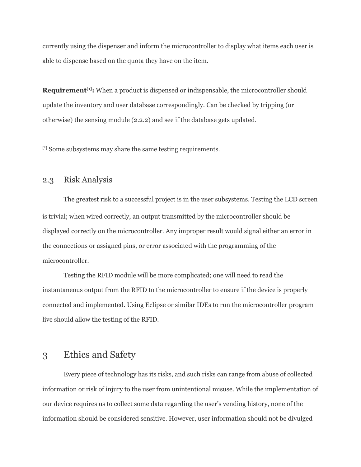currently using the dispenser and inform the microcontroller to display what items each user is able to dispense based on the quota they have on the item.

**Requirement**<sup>[1]</sup>: When a product is dispensed or indispensable, the microcontroller should update the inventory and user database correspondingly. Can be checked by tripping (or otherwise) the sensing module (2.2.2) and see if the database gets updated.

[\*] Some subsystems may share the same testing requirements.

## 2.3 Risk Analysis

The greatest risk to a successful project is in the user subsystems. Testing the LCD screen is trivial; when wired correctly, an output transmitted by the microcontroller should be displayed correctly on the microcontroller. Any improper result would signal either an error in the connections or assigned pins, or error associated with the programming of the microcontroller.

Testing the RFID module will be more complicated; one will need to read the instantaneous output from the RFID to the microcontroller to ensure if the device is properly connected and implemented. Using Eclipse or similar IDEs to run the microcontroller program live should allow the testing of the RFID.

## 3 Ethics and Safety

Every piece of technology has its risks, and such risks can range from abuse of collected information or risk of injury to the user from unintentional misuse. While the implementation of our device requires us to collect some data regarding the user's vending history, none of the information should be considered sensitive. However, user information should not be divulged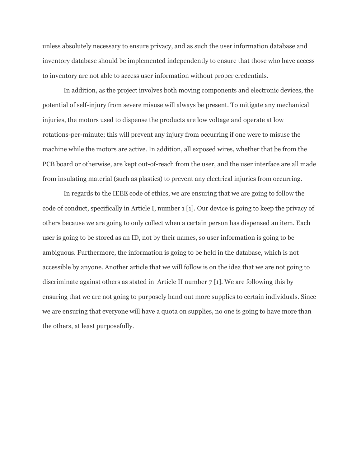unless absolutely necessary to ensure privacy, and as such the user information database and inventory database should be implemented independently to ensure that those who have access to inventory are not able to access user information without proper credentials.

In addition, as the project involves both moving components and electronic devices, the potential of self-injury from severe misuse will always be present. To mitigate any mechanical injuries, the motors used to dispense the products are low voltage and operate at low rotations-per-minute; this will prevent any injury from occurring if one were to misuse the machine while the motors are active. In addition, all exposed wires, whether that be from the PCB board or otherwise, are kept out-of-reach from the user, and the user interface are all made from insulating material (such as plastics) to prevent any electrical injuries from occurring.

In regards to the IEEE code of ethics, we are ensuring that we are going to follow the code of conduct, specifically in Article I, number 1 [1]. Our device is going to keep the privacy of others because we are going to only collect when a certain person has dispensed an item. Each user is going to be stored as an ID, not by their names, so user information is going to be ambiguous. Furthermore, the information is going to be held in the database, which is not accessible by anyone. Another article that we will follow is on the idea that we are not going to discriminate against others as stated in Article II number 7 [1]. We are following this by ensuring that we are not going to purposely hand out more supplies to certain individuals. Since we are ensuring that everyone will have a quota on supplies, no one is going to have more than the others, at least purposefully.